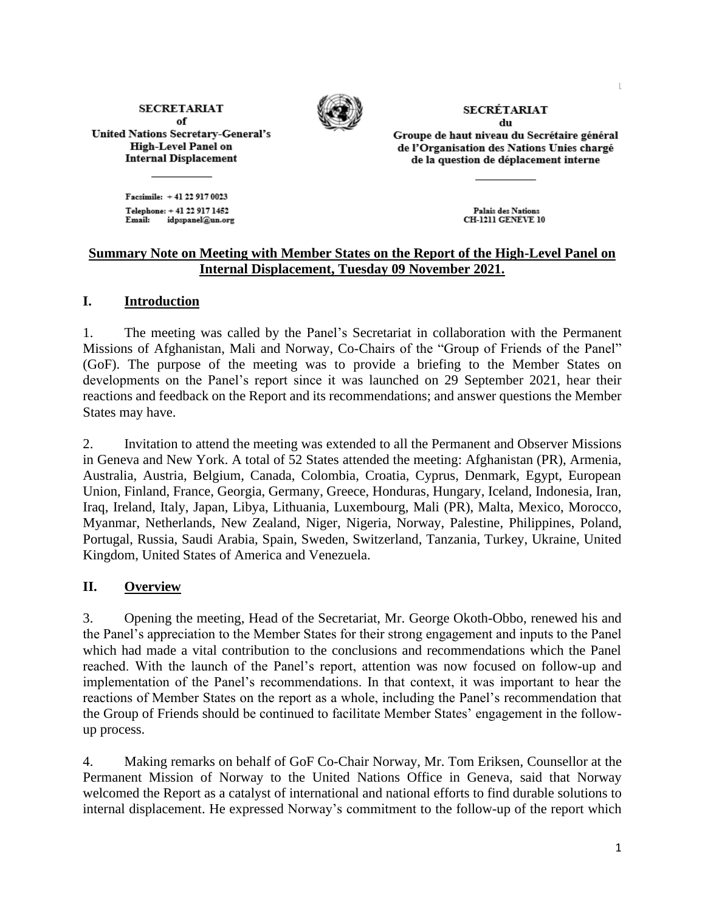**SECRETARIAT** of **United Nations Secretary-General's** High-Level Panel on **Internal Displacement** 



**SECRÉTARIAT** du

Groupe de haut niveau du Secrétaire général de l'Organisation des Nations Unies chargé de la question de déplacement interne

Facsimile: +41 22 917 0023 Telephone: +41 22 917 1452 idpspanel@un.org Email:

Palais des Nations CH-1211 GENEVE 10

## **Summary Note on Meeting with Member States on the Report of the High-Level Panel on Internal Displacement, Tuesday 09 November 2021.**

## **I. Introduction**

1. The meeting was called by the Panel's Secretariat in collaboration with the Permanent Missions of Afghanistan, Mali and Norway, Co-Chairs of the "Group of Friends of the Panel" (GoF). The purpose of the meeting was to provide a briefing to the Member States on developments on the Panel's report since it was launched on 29 September 2021, hear their reactions and feedback on the Report and its recommendations; and answer questions the Member States may have.

2. Invitation to attend the meeting was extended to all the Permanent and Observer Missions in Geneva and New York. A total of 52 States attended the meeting: Afghanistan (PR), Armenia, Australia, Austria, Belgium, Canada, Colombia, Croatia, Cyprus, Denmark, Egypt, European Union, Finland, France, Georgia, Germany, Greece, Honduras, Hungary, Iceland, Indonesia, Iran, Iraq, Ireland, Italy, Japan, Libya, Lithuania, Luxembourg, Mali (PR), Malta, Mexico, Morocco, Myanmar, Netherlands, New Zealand, Niger, Nigeria, Norway, Palestine, Philippines, Poland, Portugal, Russia, Saudi Arabia, Spain, Sweden, Switzerland, Tanzania, Turkey, Ukraine, United Kingdom, United States of America and Venezuela.

## **II. Overview**

3. Opening the meeting, Head of the Secretariat, Mr. George Okoth-Obbo, renewed his and the Panel's appreciation to the Member States for their strong engagement and inputs to the Panel which had made a vital contribution to the conclusions and recommendations which the Panel reached. With the launch of the Panel's report, attention was now focused on follow-up and implementation of the Panel's recommendations. In that context, it was important to hear the reactions of Member States on the report as a whole, including the Panel's recommendation that the Group of Friends should be continued to facilitate Member States' engagement in the followup process.

4. Making remarks on behalf of GoF Co-Chair Norway, Mr. Tom Eriksen, Counsellor at the Permanent Mission of Norway to the United Nations Office in Geneva, said that Norway welcomed the Report as a catalyst of international and national efforts to find durable solutions to internal displacement. He expressed Norway's commitment to the follow-up of the report which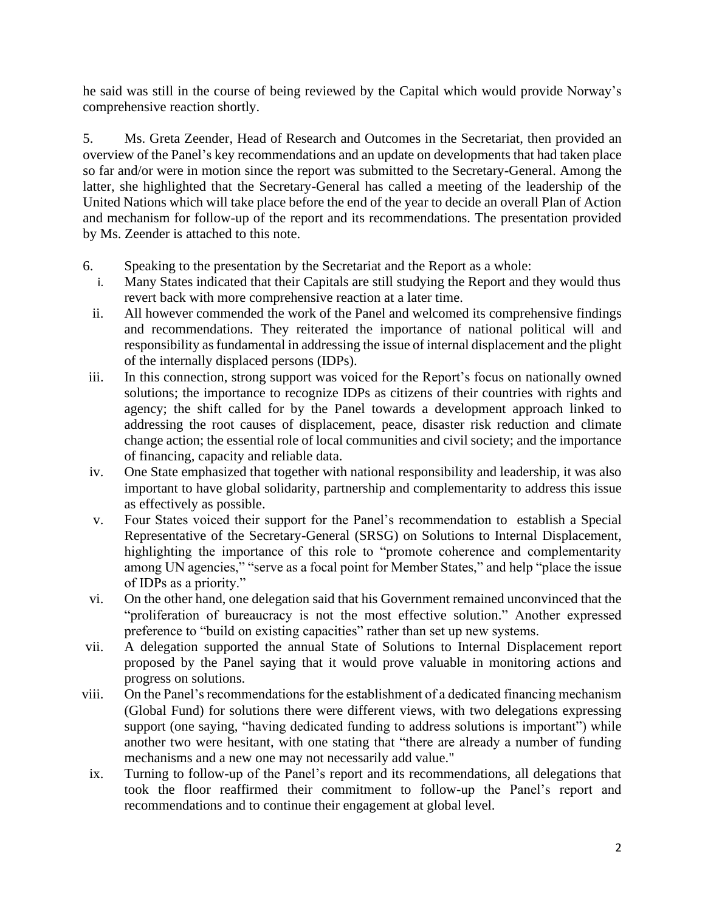he said was still in the course of being reviewed by the Capital which would provide Norway's comprehensive reaction shortly.

5. Ms. Greta Zeender, Head of Research and Outcomes in the Secretariat, then provided an overview of the Panel's key recommendations and an update on developments that had taken place so far and/or were in motion since the report was submitted to the Secretary-General. Among the latter, she highlighted that the Secretary-General has called a meeting of the leadership of the United Nations which will take place before the end of the year to decide an overall Plan of Action and mechanism for follow-up of the report and its recommendations. The presentation provided by Ms. Zeender is attached to this note.

- 6. Speaking to the presentation by the Secretariat and the Report as a whole:
	- i. Many States indicated that their Capitals are still studying the Report and they would thus revert back with more comprehensive reaction at a later time.
	- ii. All however commended the work of the Panel and welcomed its comprehensive findings and recommendations. They reiterated the importance of national political will and responsibility as fundamental in addressing the issue of internal displacement and the plight of the internally displaced persons (IDPs).
- iii. In this connection, strong support was voiced for the Report's focus on nationally owned solutions; the importance to recognize IDPs as citizens of their countries with rights and agency; the shift called for by the Panel towards a development approach linked to addressing the root causes of displacement, peace, disaster risk reduction and climate change action; the essential role of local communities and civil society; and the importance of financing, capacity and reliable data.
- iv. One State emphasized that together with national responsibility and leadership, it was also important to have global solidarity, partnership and complementarity to address this issue as effectively as possible.
- v. Four States voiced their support for the Panel's recommendation to establish a Special Representative of the Secretary-General (SRSG) on Solutions to Internal Displacement, highlighting the importance of this role to "promote coherence and complementarity among UN agencies," "serve as a focal point for Member States," and help "place the issue of IDPs as a priority."
- vi. On the other hand, one delegation said that his Government remained unconvinced that the "proliferation of bureaucracy is not the most effective solution." Another expressed preference to "build on existing capacities" rather than set up new systems.
- vii. A delegation supported the annual State of Solutions to Internal Displacement report proposed by the Panel saying that it would prove valuable in monitoring actions and progress on solutions.
- viii. On the Panel's recommendations for the establishment of a dedicated financing mechanism (Global Fund) for solutions there were different views, with two delegations expressing support (one saying, "having dedicated funding to address solutions is important") while another two were hesitant, with one stating that "there are already a number of funding mechanisms and a new one may not necessarily add value."
- ix. Turning to follow-up of the Panel's report and its recommendations, all delegations that took the floor reaffirmed their commitment to follow-up the Panel's report and recommendations and to continue their engagement at global level.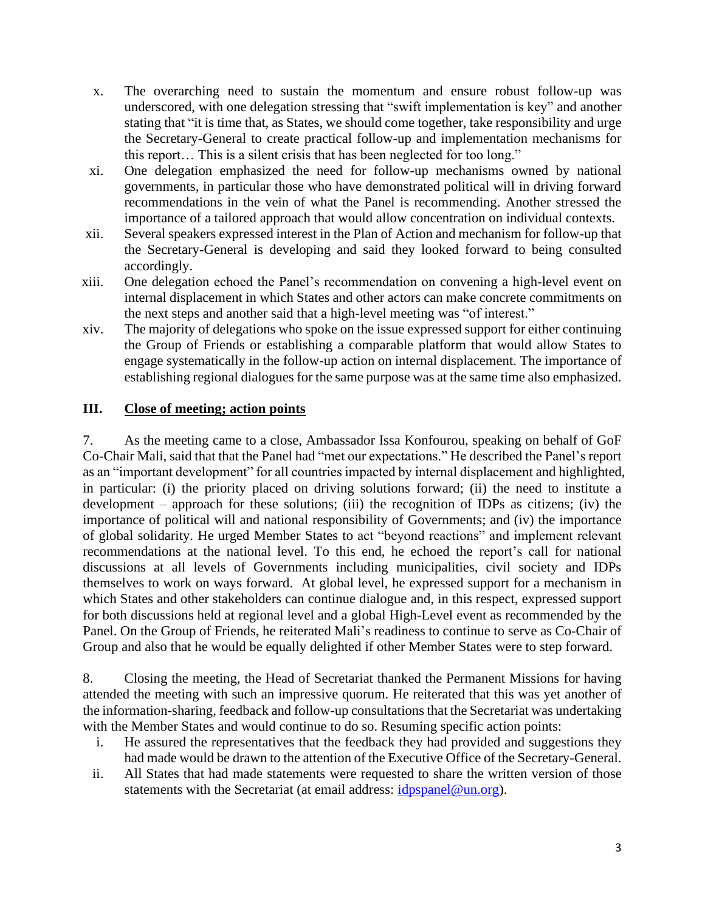- x. The overarching need to sustain the momentum and ensure robust follow-up was underscored, with one delegation stressing that "swift implementation is key" and another stating that "it is time that, as States, we should come together, take responsibility and urge the Secretary-General to create practical follow-up and implementation mechanisms for this report… This is a silent crisis that has been neglected for too long."
- xi. One delegation emphasized the need for follow-up mechanisms owned by national governments, in particular those who have demonstrated political will in driving forward recommendations in the vein of what the Panel is recommending. Another stressed the importance of a tailored approach that would allow concentration on individual contexts.
- xii. Several speakers expressed interest in the Plan of Action and mechanism for follow-up that the Secretary-General is developing and said they looked forward to being consulted accordingly.
- xiii. One delegation echoed the Panel's recommendation on convening a high-level event on internal displacement in which States and other actors can make concrete commitments on the next steps and another said that a high-level meeting was "of interest."
- xiv. The majority of delegations who spoke on the issue expressed support for either continuing the Group of Friends or establishing a comparable platform that would allow States to engage systematically in the follow-up action on internal displacement. The importance of establishing regional dialogues for the same purpose was at the same time also emphasized.

## **III. Close of meeting; action points**

7. As the meeting came to a close, Ambassador Issa Konfourou, speaking on behalf of GoF Co-Chair Mali, said that that the Panel had "met our expectations." He described the Panel's report as an "important development" for all countries impacted by internal displacement and highlighted, in particular: (i) the priority placed on driving solutions forward; (ii) the need to institute a development – approach for these solutions; (iii) the recognition of IDPs as citizens; (iv) the importance of political will and national responsibility of Governments; and (iv) the importance of global solidarity. He urged Member States to act "beyond reactions" and implement relevant recommendations at the national level. To this end, he echoed the report's call for national discussions at all levels of Governments including municipalities, civil society and IDPs themselves to work on ways forward. At global level, he expressed support for a mechanism in which States and other stakeholders can continue dialogue and, in this respect, expressed support for both discussions held at regional level and a global High-Level event as recommended by the Panel. On the Group of Friends, he reiterated Mali's readiness to continue to serve as Co-Chair of Group and also that he would be equally delighted if other Member States were to step forward.

8. Closing the meeting, the Head of Secretariat thanked the Permanent Missions for having attended the meeting with such an impressive quorum. He reiterated that this was yet another of the information-sharing, feedback and follow-up consultations that the Secretariat was undertaking with the Member States and would continue to do so. Resuming specific action points:

- i. He assured the representatives that the feedback they had provided and suggestions they had made would be drawn to the attention of the Executive Office of the Secretary-General.
- ii. All States that had made statements were requested to share the written version of those statements with the Secretariat (at email address: *idpspanel@un.org*).